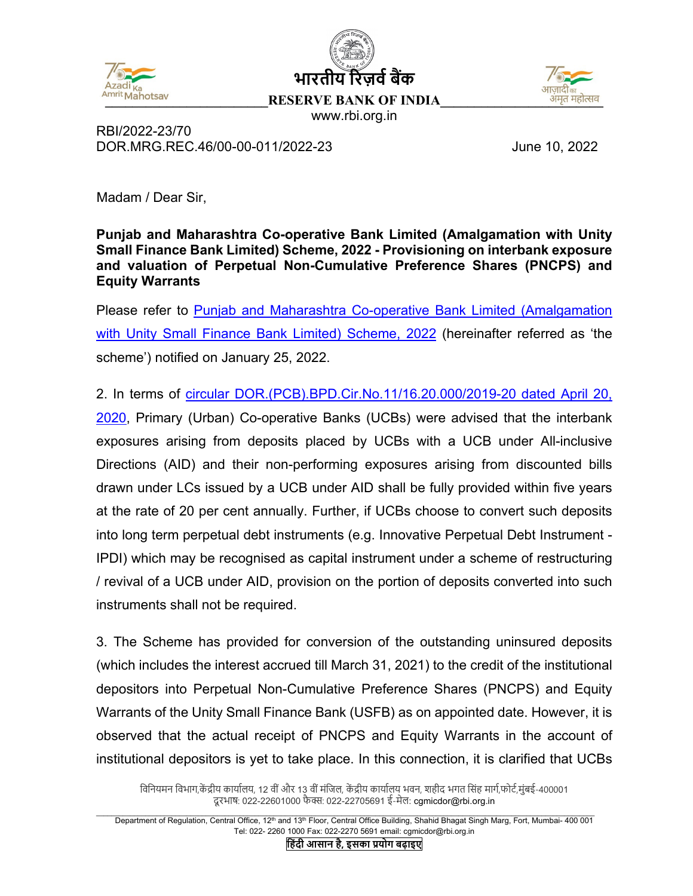





www.rbi.org.in

RBI/2022-23/70 DOR.MRG.REC.46/00-00-011/2022-23 June 10, 2022

'Madam / Dear Sir,

**Punjab and Maharashtra Co-operative Bank Limited (Amalgamation with Unity Small Finance Bank Limited) Scheme, 2022 - Provisioning on interbank exposure and valuation of Perpetual Non-Cumulative Preference Shares (PNCPS) and Equity Warrants** 

Please refer to [Punjab and Maharashtra Co-operative Bank Limited \(Amalgamation](https://www.rbi.org.in/Scripts/BS_PressReleaseDisplay.aspx?prid=53171)  [with Unity Small Finance Bank Limited\) Scheme, 2022](https://www.rbi.org.in/Scripts/BS_PressReleaseDisplay.aspx?prid=53171) (hereinafter referred as 'the scheme') notified on January 25, 2022.

2. In terms of [circular DOR.\(PCB\).BPD.Cir.No.11/16.20.000/2019-20 dated April 20,](https://www.rbi.org.in/Scripts/NotificationUser.aspx?Id=11874&Mode=0)  [2020,](https://www.rbi.org.in/Scripts/NotificationUser.aspx?Id=11874&Mode=0) Primary (Urban) Co-operative Banks (UCBs) were advised that the interbank exposures arising from deposits placed by UCBs with a UCB under All-inclusive Directions (AID) and their non-performing exposures arising from discounted bills drawn under LCs issued by a UCB under AID shall be fully provided within five years at the rate of 20 per cent annually. Further, if UCBs choose to convert such deposits into long term perpetual debt instruments (e.g. Innovative Perpetual Debt Instrument - IPDI) which may be recognised as capital instrument under a scheme of restructuring / revival of a UCB under AID, provision on the portion of deposits converted into such instruments shall not be required.

3. The Scheme has provided for conversion of the outstanding uninsured deposits (which includes the interest accrued till March 31, 2021) to the credit of the institutional depositors into Perpetual Non-Cumulative Preference Shares (PNCPS) and Equity Warrants of the Unity Small Finance Bank (USFB) as on appointed date. However, it is observed that the actual receipt of PNCPS and Equity Warrants in the account of institutional depositors is yet to take place. In this connection, it is clarified that UCBs

विनियमन विभाग,केंद्रीय कार्यालय, 12 वीं और 13 वीं मंजिल, केंद्रीय कार्यालय भवन, शहीद भगत सिंह मार्ग,फोर्ट,मुंबई-400001 दूरभाष: 022-22601000 फैक्स: 022-22705691 ई-मेल: cgmicdor@rbi.org.in

Department of Regulation, Central Office, 12<sup>th</sup> and 13<sup>th</sup> Floor, Central Office Building, Shahid Bhagat Singh Marg, Fort, Mumbai- 400 001 Tel: 022- 2260 1000 Fax: 022-2270 5691 email: cgmicdor@rbi.org.in

**िहंदी आसान है, इसका प्रयोग बढ़ाइए**